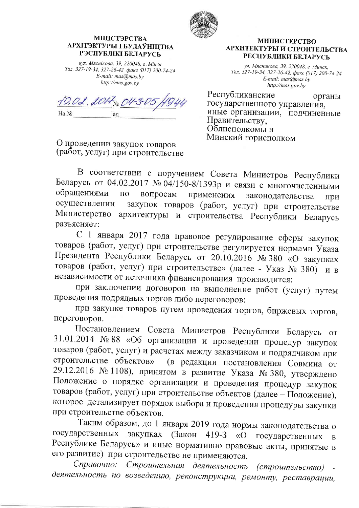

## **МІНІСТЭРСТВА** АРХІТЭКТУРЫ І БУДАЎНІЦТВА РЭСПУБЛІКІ БЕЛАРУСЬ

вул. Мяснікова, 39, 220048, г. Мінск Тэл. 327-19-34, 327-26-42, факс (017) 200-74-24 E-mail: mas@mas.by http://mas.gov.by

10.02.2017 No 04-3. Ha No ад

О проведении закупок товаров (работ, услуг) при строительстве

## **МИНИСТЕРСТВО** АРХИТЕКТУРЫ И СТРОИТЕЛЬСТВА РЕСПУБЛИКИ БЕЛАРУСЬ

ул. Мясникова, 39, 220048, г. Минск, Тел. 327-19-34, 327-26-42, факс (017) 200-74-24 E-mail: mas@mas.by http://mas.gov.by

Республиканские органы государственного управления. иные организации, подчиненные Правительству, Облисполкомы и Минский горисполком

В соответствии с поручением Совета Министров Республики Беларусь от 04.02.2017 № 04/150-8/1393р и связи с многочисленными обращениями  $\Pi$ O вопросам применения законодательства при закупок товаров (работ, услуг) при строительстве осуществлении Министерство архитектуры и строительства Республики Беларусь разъясняет:

С 1 января 2017 года правовое регулирование сферы закупок товаров (работ, услуг) при строительстве регулируется нормами Указа Президента Республики Беларусь от 20.10.2016 № 380 «О закупках товаров (работ, услуг) при строительстве» (далее - Указ № 380) и в независимости от источника финансирования производится:

при заключении договоров на выполнение работ (услуг) путем проведения подрядных торгов либо переговоров:

при закупке товаров путем проведения торгов, биржевых торгов, переговоров.

Постановлением Совета Министров Республики Беларусь **OT** 31.01.2014 № 88 «Об организации и проведении процедур закупок товаров (работ, услуг) и расчетах между заказчиком и подрядчиком при строительстве объектов» (в редакции постановления Совмина от 29.12.2016 № 1108), принятом в развитие Указа № 380, утверждено Положение о порядке организации и проведения процедур закупок товаров (работ, услуг) при строительстве объектов (далее - Положение), которое детализирует порядок выбора и проведения процедуры закупки при строительстве объектов.

Таким образом, до 1 января 2019 года нормы законодательства о государственных закупках (Закон 419-3 государственных  $\langle \langle \mathbf{O} \rangle$  $\bf{B}$ Республике Беларусь» и иные нормативно правовые акты, принятые в его развитие) при строительстве не применяются.

Справочно: Строительная деятельность (строительство) деятельность по возведению, реконструкции, ремонту, реставрации,